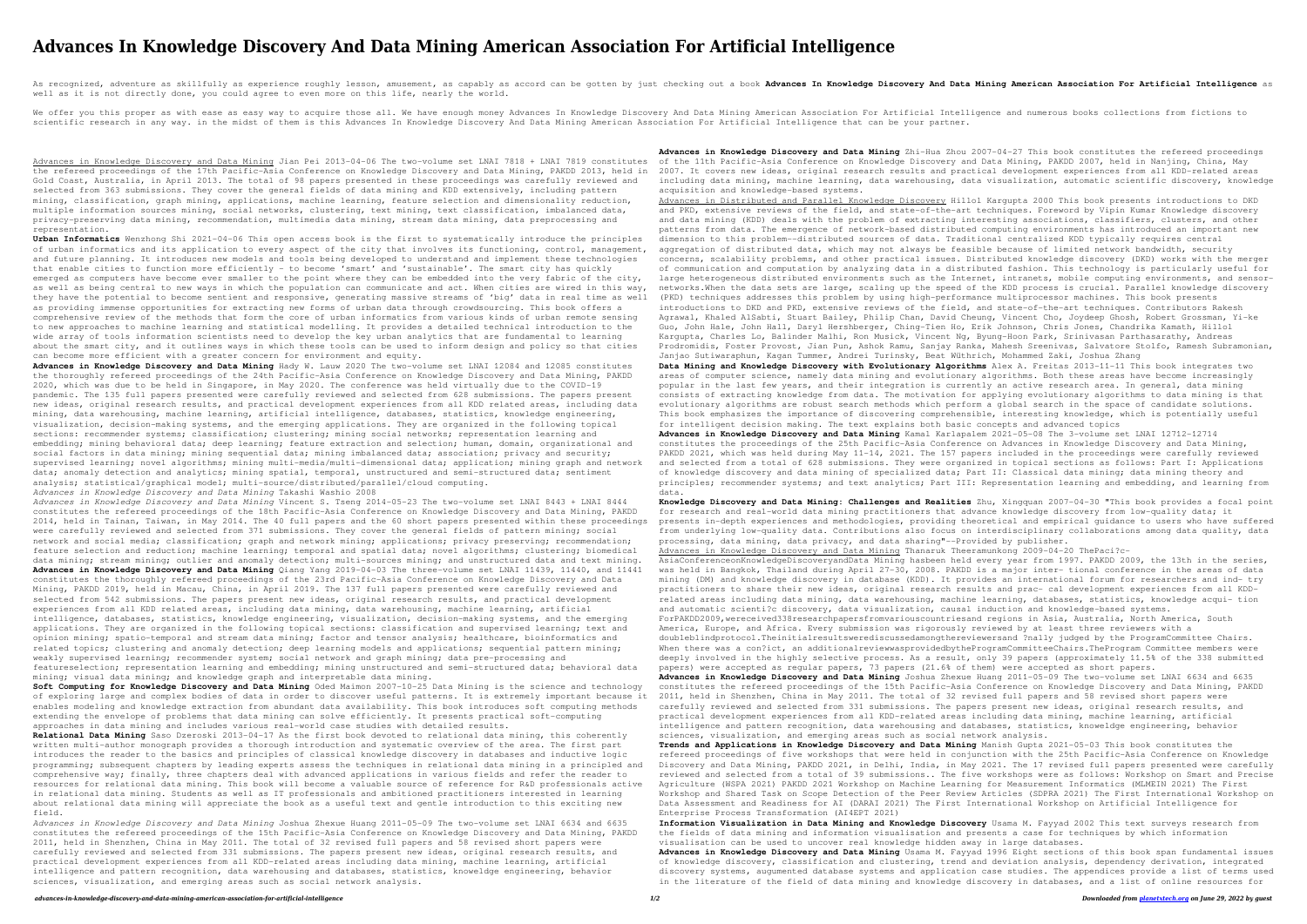# **Advances In Knowledge Discovery And Data Mining American Association For Artificial Intelligence**

As recognized, adventure as skillfully as experience roughly lesson, amusement, as capably as accord can be gotten by just checking out a book Advances In Knowledge Discovery And Data Mining American Association For Artifi well as it is not directly done, you could agree to even more on this life, nearly the world.

We offer you this proper as with ease as easy way to acquire those all. We have enough money Advances In Knowledge Discovery And Data Mining American Association For Artificial Intelligence and numerous books collections f scientific research in any way. in the midst of them is this Advances In Knowledge Discovery And Data Mining American Association For Artificial Intelligence that can be your partner.

Advances in Knowledge Discovery and Data Mining Jian Pei 2013-04-06 The two-volume set LNAI 7818 + LNAI 7819 constitutes the refereed proceedings of the 17th Pacific-Asia Conference on Knowledge Discovery and Data Mining, PAKDD 2013, held in Gold Coast, Australia, in April 2013. The total of 98 papers presented in these proceedings was carefully reviewed and selected from 363 submissions. They cover the general fields of data mining and KDD extensively, including pattern mining, classification, graph mining, applications, machine learning, feature selection and dimensionality reduction, multiple information sources mining, social networks, clustering, text mining, text classification, imbalanced data, privacy-preserving data mining, recommendation, multimedia data mining, stream data mining, data preprocessing and representation.

**Urban Informatics** Wenzhong Shi 2021-04-06 This open access book is the first to systematically introduce the principles of urban informatics and its application to every aspect of the city that involves its functioning, control, management, and future planning. It introduces new models and tools being developed to understand and implement these technologies that enable cities to function more efficiently – to become 'smart' and 'sustainable'. The smart city has quickly emerged as computers have become ever smaller to the point where they can be embedded into the very fabric of the city, as well as being central to new ways in which the population can communicate and act. When cities are wired in this way, they have the potential to become sentient and responsive, generating massive streams of 'big' data in real time as well as providing immense opportunities for extracting new forms of urban data through crowdsourcing. This book offers a comprehensive review of the methods that form the core of urban informatics from various kinds of urban remote sensing to new approaches to machine learning and statistical modelling. It provides a detailed technical introduction to the wide array of tools information scientists need to develop the key urban analytics that are fundamental to learning about the smart city, and it outlines ways in which these tools can be used to inform design and policy so that cities can become more efficient with a greater concern for environment and equity.

**Advances in Knowledge Discovery and Data Mining** Hady W. Lauw 2020 The two-volume set LNAI 12084 and 12085 constitutes the thoroughly refereed proceedings of the 24th Pacific-Asia Conference on Knowledge Discovery and Data Mining, PAKDD 2020, which was due to be held in Singapore, in May 2020. The conference was held virtually due to the COVID-19 pandemic. The 135 full papers presented were carefully reviewed and selected from 628 submissions. The papers present new ideas, original research results, and practical development experiences from all KDD related areas, including data mining, data warehousing, machine learning, artificial intelligence, databases, statistics, knowledge engineering, visualization, decision-making systems, and the emerging applications. They are organized in the following topical sections: recommender systems; classification; clustering; mining social networks; representation learning and embedding; mining behavioral data; deep learning; feature extraction and selection; human, domain, organizational and social factors in data mining; mining sequential data; mining imbalanced data; association; privacy and security; supervised learning; novel algorithms; mining multi-media/multi-dimensional data; application; mining graph and network data; anomaly detection and analytics; mining spatial, temporal, unstructured and semi-structured data; sentiment analysis; statistical/graphical model; multi-source/distributed/parallel/cloud computing.

*Advances in Knowledge Discovery and Data Mining* Takashi Washio 2008 *Advances in Knowledge Discovery and Data Mining* Vincent S. Tseng 2014-05-23 The two-volume set LNAI 8443 + LNAI 8444 constitutes the refereed proceedings of the 18th Pacific-Asia Conference on Knowledge Discovery and Data Mining, PAKDD 2014, held in Tainan, Taiwan, in May 2014. The 40 full papers and the 60 short papers presented within these proceedings were carefully reviewed and selected from 371 submissions. They cover the general fields of pattern mining; social network and social media; classification; graph and network mining; applications; privacy preserving; recommendation; feature selection and reduction; machine learning; temporal and spatial data; novel algorithms; clustering; biomedical data mining; stream mining; outlier and anomaly detection; multi-sources mining; and unstructured data and text mining. **Advances in Knowledge Discovery and Data Mining** Qiang Yang 2019-04-03 The three-volume set LNAI 11439, 11440, and 11441 constitutes the thoroughly refereed proceedings of the 23rd Pacific-Asia Conference on Knowledge Discovery and Data Mining, PAKDD 2019, held in Macau, China, in April 2019. The 137 full papers presented were carefully reviewed and selected from 542 submissions. The papers present new ideas, original research results, and practical development experiences from all KDD related areas, including data mining, data warehousing, machine learning, artificial intelligence, databases, statistics, knowledge engineering, visualization, decision-making systems, and the emerging applications. They are organized in the following topical sections: classification and supervised learning; text and opinion mining; spatio-temporal and stream data mining; factor and tensor analysis; healthcare, bioinformatics and related topics; clustering and anomaly detection; deep learning models and applications; sequential pattern mining; weakly supervised learning; recommender system; social network and graph mining; data pre-processing and featureselection; representation learning and embedding; mining unstructured and semi-structured data; behavioral data mining; visual data mining; and knowledge graph and interpretable data mining.

**Soft Computing for Knowledge Discovery and Data Mining** Oded Maimon 2007-10-25 Data Mining is the science and technology of exploring large and complex bodies of data in order to discover useful patterns. It is extremely important because it enables modeling and knowledge extraction from abundant data availability. This book introduces soft computing methods extending the envelope of problems that data mining can solve efficiently. It presents practical soft-computing approaches in data mining and includes various real-world case studies with detailed results.

**Relational Data Mining** Saso Dzeroski 2013-04-17 As the first book devoted to relational data mining, this coherently written multi-author monograph provides a thorough introduction and systematic overview of the area. The first part introduces the reader to the basics and principles of classical knowledge discovery in databases and inductive logic programming; subsequent chapters by leading experts assess the techniques in relational data mining in a principled and comprehensive way; finally, three chapters deal with advanced applications in various fields and refer the reader to resources for relational data mining. This book will become a valuable source of reference for R&D professionals active in relational data mining. Students as well as IT professionals and ambitioned practitioners interested in learning about relational data mining will appreciate the book as a useful text and gentle introduction to this exciting new field.

*Advances in Knowledge Discovery and Data Mining* Joshua Zhexue Huang 2011-05-09 The two-volume set LNAI 6634 and 6635 constitutes the refereed proceedings of the 15th Pacific-Asia Conference on Knowledge Discovery and Data Mining, PAKDD 2011, held in Shenzhen, China in May 2011. The total of 32 revised full papers and 58 revised short papers were carefully reviewed and selected from 331 submissions. The papers present new ideas, original research results, and practical development experiences from all KDD-related areas including data mining, machine learning, artificial intelligence and pattern recognition, data warehousing and databases, statistics, knoweldge engineering, behavior sciences, visualization, and emerging areas such as social network analysis.

**Advances in Knowledge Discovery and Data Mining** Zhi-Hua Zhou 2007-04-27 This book constitutes the refereed proceedings of the 11th Pacific-Asia Conference on Knowledge Discovery and Data Mining, PAKDD 2007, held in Nanjing, China, May 2007. It covers new ideas, original research results and practical development experiences from all KDD-related areas including data mining, machine learning, data warehousing, data visualization, automatic scientific discovery, knowledge acquisition and knowledge-based systems.

Advances in Distributed and Parallel Knowledge Discovery Hillol Kargupta 2000 This book presents introductions to DKD and PKD, extensive reviews of the field, and state-of-the-art techniques. Foreword by Vipin Kumar Knowledge discovery and data mining (KDD) deals with the problem of extracting interesting associations, classifiers, clusters, and other patterns from data. The emergence of network-based distributed computing environments has introduced an important new dimension to this problem--distributed sources of data. Traditional centralized KDD typically requires central aggregation of distributed data, which may not always be feasible because of limited network bandwidth, security concerns, scalability problems, and other practical issues. Distributed knowledge discovery (DKD) works with the merger of communication and computation by analyzing data in a distributed fashion. This technology is particularly useful for large heterogeneous distributed environments such as the Internet, intranets, mobile computing environments, and sensornetworks.When the data sets are large, scaling up the speed of the KDD process is crucial. Parallel knowledge discovery (PKD) techniques addresses this problem by using high-performance multiprocessor machines. This book presents introductions to DKD and PKD, extensive reviews of the field, and state-of-the-art techniques. Contributors Rakesh Agrawal, Khaled AlSabti, Stuart Bailey, Philip Chan, David Cheung, Vincent Cho, Joydeep Ghosh, Robert Grossman, Yi-ke Guo, John Hale, John Hall, Daryl Hershberger, Ching-Tien Ho, Erik Johnson, Chris Jones, Chandrika Kamath, Hillol Kargupta, Charles Lo, Balinder Malhi, Ron Musick, Vincent Ng, Byung-Hoon Park, Srinivasan Parthasarathy, Andreas Prodromidis, Foster Provost, Jian Pun, Ashok Ramu, Sanjay Ranka, Mahesh Sreenivas, Salvatore Stolfo, Ramesh Subramonian, Janjao Sutiwaraphun, Kagan Tummer, Andrei Turinsky, Beat Wüthrich, Mohammed Zaki, Joshua Zhang

**Data Mining and Knowledge Discovery with Evolutionary Algorithms** Alex A. Freitas 2013-11-11 This book integrates two areas of computer science, namely data mining and evolutionary algorithms. Both these areas have become increasingly popular in the last few years, and their integration is currently an active research area. In general, data mining consists of extracting knowledge from data. The motivation for applying evolutionary algorithms to data mining is that evolutionary algorithms are robust search methods which perform a global search in the space of candidate solutions. This book emphasizes the importance of discovering comprehensible, interesting knowledge, which is potentially useful for intelligent decision making. The text explains both basic concepts and advanced topics

**Advances in Knowledge Discovery and Data Mining** Kamal Karlapalem 2021-05-08 The 3-volume set LNAI 12712-12714 constitutes the proceedings of the 25th Pacific-Asia Conference on Advances in Knowledge Discovery and Data Mining, PAKDD 2021, which was held during May 11-14, 2021. The 157 papers included in the proceedings were carefully reviewed and selected from a total of 628 submissions. They were organized in topical sections as follows: Part I: Applications of knowledge discovery and data mining of specialized data; Part II: Classical data mining; data mining theory and principles; recommender systems; and text analytics; Part III: Representation learning and embedding, and learning from

data.

**Knowledge Discovery and Data Mining: Challenges and Realities** Zhu, Xingquan 2007-04-30 "This book provides a focal point for research and real-world data mining practitioners that advance knowledge discovery from low-quality data; it presents in-depth experiences and methodologies, providing theoretical and empirical guidance to users who have suffered from underlying low-quality data. Contributions also focus on interdisciplinary collaborations among data quality, data processing, data mining, data privacy, and data sharing"--Provided by publisher.

Advances in Knowledge Discovery and Data Mining Thanaruk Theeramunkong 2009-04-20 ThePaci?c-

AsiaConferenceonKnowledgeDiscoveryandData Mining hasbeen held every year from 1997. PAKDD 2009, the 13th in the series, was held in Bangkok, Thailand during April 27-30, 2008. PAKDD is a major inter- tional conference in the areas of data mining (DM) and knowledge discovery in database (KDD). It provides an international forum for researchers and ind- try practitioners to share their new ideas, original research results and prac- cal development experiences from all KDDrelated areas including data mining, data warehousing, machine learning, databases, statistics, knowledge acqui- tion and automatic scienti?c discovery, data visualization, causal induction and knowledge-based systems. ForPAKDD2009,wereceived338researchpapersfromvariouscountriesand regions in Asia, Australia, North America, South

America, Europe, and Africa. Every submission was rigorously reviewed by at least three reviewers with a doubleblindprotocol.Theinitialresultswerediscussedamongthereviewersand ?nally judged by the ProgramCommittee Chairs. When there was a con?ict, an additionalreviewwasprovidedbytheProgramCommitteeChairs.TheProgram Committee members were deeply involved in the highly selective process. As a result, only 39 papers (approximately 11.5% of the 338 submitted papers) were accepted as regular papers, 73 papers (21.6% of them) were accepted as short papers. **Advances in Knowledge Discovery and Data Mining** Joshua Zhexue Huang 2011-05-09 The two-volume set LNAI 6634 and 6635

constitutes the refereed proceedings of the 15th Pacific-Asia Conference on Knowledge Discovery and Data Mining, PAKDD 2011, held in Shenzhen, China in May 2011. The total of 32 revised full papers and 58 revised short papers were carefully reviewed and selected from 331 submissions. The papers present new ideas, original research results, and practical development experiences from all KDD-related areas including data mining, machine learning, artificial intelligence and pattern recognition, data warehousing and databases, statistics, knoweldge engineering, behavior sciences, visualization, and emerging areas such as social network analysis.

**Trends and Applications in Knowledge Discovery and Data Mining** Manish Gupta 2021-05-03 This book constitutes the refereed proceedings of five workshops that were held in conjunction with the 25th Pacific-Asia Conference on Knowledge Discovery and Data Mining, PAKDD 2021, in Delhi, India, in May 2021. The 17 revised full papers presented were carefully reviewed and selected from a total of 39 submissions.. The five workshops were as follows: Workshop on Smart and Precise Agriculture (WSPA 2021) PAKDD 2021 Workshop on Machine Learning for Measurement Informatics (MLMEIN 2021) The First Workshop and Shared Task on Scope Detection of the Peer Review Articles (SDPRA 2021) The First International Workshop on Data Assessment and Readiness for AI (DARAI 2021) The First International Workshop on Artificial Intelligence for Enterprise Process Transformation (AI4EPT 2021) **Information Visualization in Data Mining and Knowledge Discovery** Usama M. Fayyad 2002 This text surveys research from the fields of data mining and information visualisation and presents a case for techniques by which information visualisation can be used to uncover real knowledge hidden away in large databases. **Advances in Knowledge Discovery and Data Mining** Usama M. Fayyad 1996 Eight sections of this book span fundamental issues of knowledge discovery, classification and clustering, trend and deviation analysis, dependency derivation, integrated discovery systems, augumented database systems and application case studies. The appendices provide a list of terms used in the literature of the field of data mining and knowledge discovery in databases, and a list of online resources for